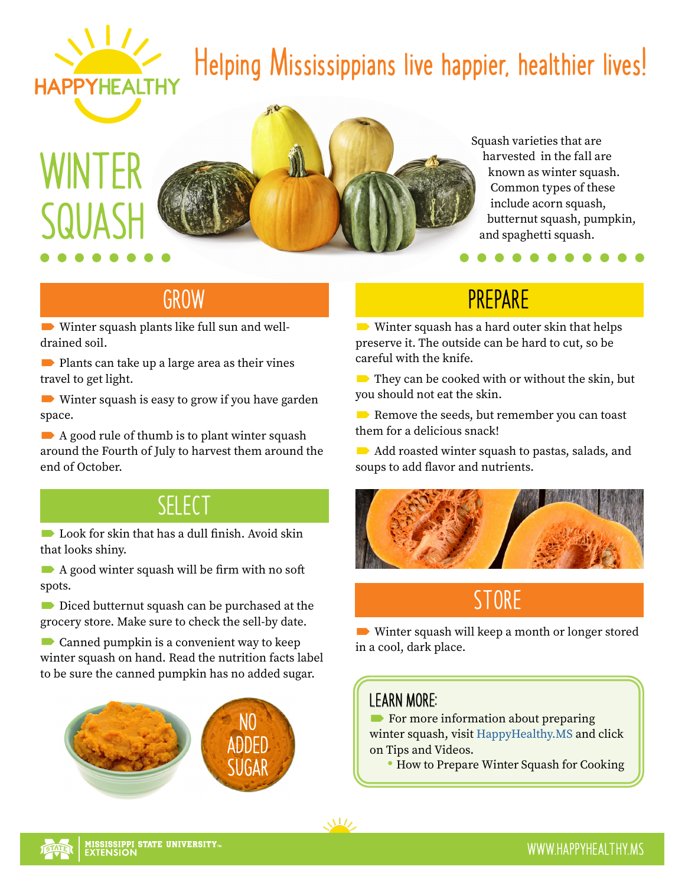

## **Helping Mississippians live happier, healthier lives!**

# **WINTER SQUASH**



Squash varieties that are harvested in the fall are known as winter squash. Common types of these include acorn squash, butternut squash, pumpkin, and spaghetti squash.

. . . .

#### **GROW**

 Winter squash plants like full sun and welldrained soil.

Plants can take up a large area as their vines travel to get light.

**■** Winter squash is easy to grow if you have garden space.

 $\blacktriangleright$  A good rule of thumb is to plant winter squash around the Fourth of July to harvest them around the end of October.

#### **SELECT**

**Look** for skin that has a dull finish. Avoid skin that looks shiny.

A good winter squash will be firm with no soft spots.

Diced butternut squash can be purchased at the grocery store. Make sure to check the sell-by date.

 $\blacksquare$  Canned pumpkin is a convenient way to keep winter squash on hand. Read the nutrition facts label to be sure the canned pumpkin has no added sugar.



### **PREPARE**

Winter squash has a hard outer skin that helps preserve it. The outside can be hard to cut, so be careful with the knife.

They can be cooked with or without the skin, but you should not eat the skin.

Remove the seeds, but remember you can toast them for a delicious snack!

Add roasted winter squash to pastas, salads, and soups to add flavor and nutrients.



### **STORE**

 Winter squash will keep a month or longer stored in a cool, dark place.

#### **LEARN MORE:**

For more information about preparing winter squash, visit [HappyHealthy.MS](http://HappyHealthy.MS) and click on Tips and Videos.

• How to Prepare Winter Squash for Cooking